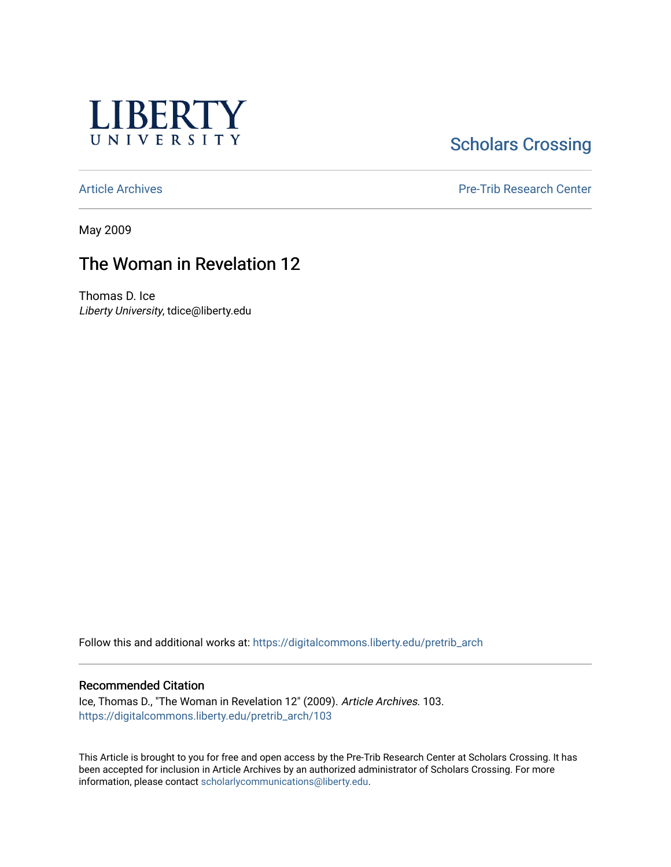

# **Scholars Crossing**

[Article Archives](https://digitalcommons.liberty.edu/pretrib_arch) [Pre-Trib Research Center](https://digitalcommons.liberty.edu/pretrib) 

May 2009

# The Woman in Revelation 12

Thomas D. Ice Liberty University, tdice@liberty.edu

Follow this and additional works at: [https://digitalcommons.liberty.edu/pretrib\\_arch](https://digitalcommons.liberty.edu/pretrib_arch?utm_source=digitalcommons.liberty.edu%2Fpretrib_arch%2F103&utm_medium=PDF&utm_campaign=PDFCoverPages) 

### Recommended Citation

Ice, Thomas D., "The Woman in Revelation 12" (2009). Article Archives. 103. [https://digitalcommons.liberty.edu/pretrib\\_arch/103](https://digitalcommons.liberty.edu/pretrib_arch/103?utm_source=digitalcommons.liberty.edu%2Fpretrib_arch%2F103&utm_medium=PDF&utm_campaign=PDFCoverPages) 

This Article is brought to you for free and open access by the Pre-Trib Research Center at Scholars Crossing. It has been accepted for inclusion in Article Archives by an authorized administrator of Scholars Crossing. For more information, please contact [scholarlycommunications@liberty.edu](mailto:scholarlycommunications@liberty.edu).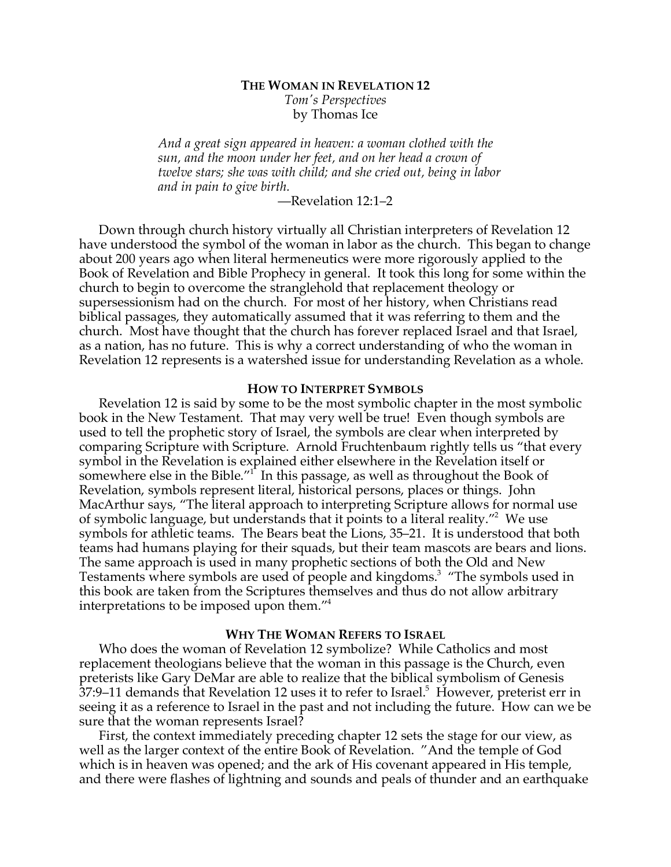## **THE WOMAN IN REVELATION 12** *Tom's Perspectives* by Thomas Ice

*And a great sign appeared in heaven: a woman clothed with the sun, and the moon under her feet, and on her head a crown of twelve stars; she was with child; and she cried out, being in labor and in pain to give birth.*

—Revelation 12:1–2

Down through church history virtually all Christian interpreters of Revelation 12 have understood the symbol of the woman in labor as the church. This began to change about 200 years ago when literal hermeneutics were more rigorously applied to the Book of Revelation and Bible Prophecy in general. It took this long for some within the church to begin to overcome the stranglehold that replacement theology or supersessionism had on the church. For most of her history, when Christians read biblical passages, they automatically assumed that it was referring to them and the church. Most have thought that the church has forever replaced Israel and that Israel, as a nation, has no future. This is why a correct understanding of who the woman in Revelation 12 represents is a watershed issue for understanding Revelation as a whole.

#### **HOW TO INTERPRET SYMBOLS**

Revelation 12 is said by some to be the most symbolic chapter in the most symbolic book in the New Testament. That may very well be true! Even though symbols are used to tell the prophetic story of Israel, the symbols are clear when interpreted by comparing Scripture with Scripture. Arnold Fruchtenbaum rightly tells us "that every symbol in the Revelation is explained either elsewhere in the Revelation itself or somewhere else in the Bible. $1^{\prime}$  In this passage, as well as throughout the Book of Revelation, symbols represent literal, historical persons, places or things. John MacArthur says, "The literal approach to interpreting Scripture allows for normal use of symbolic language, but understands that it points to a literal reality."<sup>2</sup> We use symbols for athletic teams. The Bears beat the Lions, 35–21. It is understood that both teams had humans playing for their squads, but their team mascots are bears and lions. The same approach is used in many prophetic sections of both the Old and New Testaments where symbols are used of people and kingdoms.<sup>3</sup> "The symbols used in this book are taken from the Scriptures themselves and thus do not allow arbitrary interpretations to be imposed upon them."4

### **WHY THE WOMAN REFERS TO ISRAEL**

Who does the woman of Revelation 12 symbolize? While Catholics and most replacement theologians believe that the woman in this passage is the Church, even preterists like Gary DeMar are able to realize that the biblical symbolism of Genesis  $37:9$ –11 demands that Revelation 12 uses it to refer to Israel. $5$  However, preterist err in seeing it as a reference to Israel in the past and not including the future. How can we be sure that the woman represents Israel?

First, the context immediately preceding chapter 12 sets the stage for our view, as well as the larger context of the entire Book of Revelation. "And the temple of God which is in heaven was opened; and the ark of His covenant appeared in His temple, and there were flashes of lightning and sounds and peals of thunder and an earthquake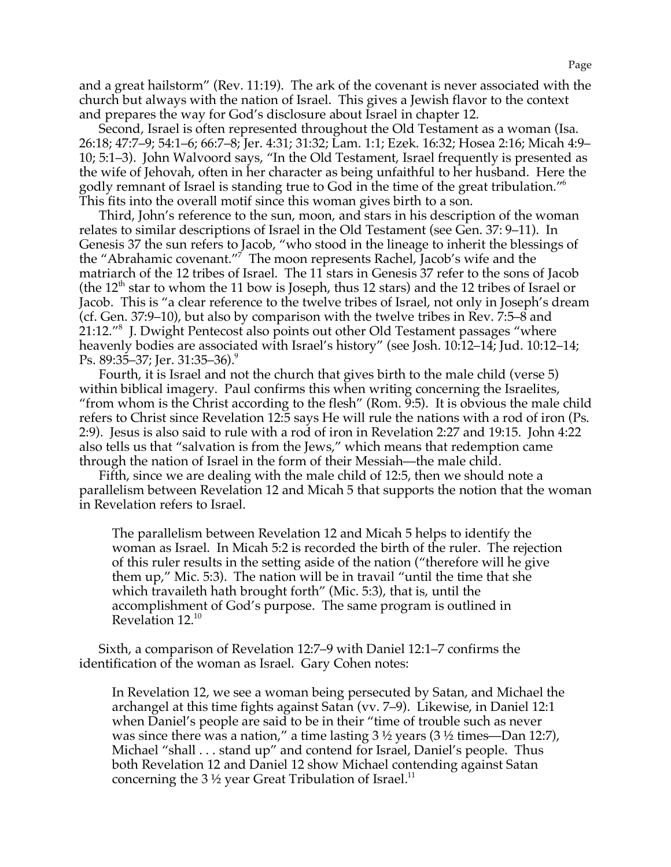and a great hailstorm" (Rev. 11:19). The ark of the covenant is never associated with the church but always with the nation of Israel. This gives a Jewish flavor to the context and prepares the way for God's disclosure about Israel in chapter 12.

Second, Israel is often represented throughout the Old Testament as a woman (Isa. 26:18; 47:7–9; 54:1–6; 66:7–8; Jer. 4:31; 31:32; Lam. 1:1; Ezek. 16:32; Hosea 2:16; Micah 4:9– 10; 5:1–3). John Walvoord says, "In the Old Testament, Israel frequently is presented as the wife of Jehovah, often in her character as being unfaithful to her husband. Here the godly remnant of Israel is standing true to God in the time of the great tribulation."6 This fits into the overall motif since this woman gives birth to a son.

Third, John's reference to the sun, moon, and stars in his description of the woman relates to similar descriptions of Israel in the Old Testament (see Gen. 37: 9–11). In Genesis 37 the sun refers to Jacob, "who stood in the lineage to inherit the blessings of the "Abrahamic covenant."7 The moon represents Rachel, Jacob's wife and the matriarch of the 12 tribes of Israel. The 11 stars in Genesis 37 refer to the sons of Jacob (the  $12<sup>th</sup>$  star to whom the 11 bow is Joseph, thus 12 stars) and the 12 tribes of Israel or Jacob. This is "a clear reference to the twelve tribes of Israel, not only in Joseph's dream (cf. Gen. 37:9–10), but also by comparison with the twelve tribes in Rev. 7:5–8 and 21:12."8 J. Dwight Pentecost also points out other Old Testament passages "where heavenly bodies are associated with Israel's history" (see Josh. 10:12–14; Jud. 10:12–14; Ps. 89:35–37; Jer. 31:35–36).<sup>9</sup>

Fourth, it is Israel and not the church that gives birth to the male child (verse 5) within biblical imagery. Paul confirms this when writing concerning the Israelites, "from whom is the Christ according to the flesh" (Rom. 9:5). It is obvious the male child refers to Christ since Revelation 12:5 says He will rule the nations with a rod of iron (Ps. 2:9). Jesus is also said to rule with a rod of iron in Revelation 2:27 and 19:15. John 4:22 also tells us that "salvation is from the Jews," which means that redemption came through the nation of Israel in the form of their Messiah—the male child.

Fifth, since we are dealing with the male child of 12:5, then we should note a parallelism between Revelation 12 and Micah 5 that supports the notion that the woman in Revelation refers to Israel.

The parallelism between Revelation 12 and Micah 5 helps to identify the woman as Israel. In Micah 5:2 is recorded the birth of the ruler. The rejection of this ruler results in the setting aside of the nation ("therefore will he give them up," Mic. 5:3). The nation will be in travail "until the time that she which travaileth hath brought forth" (Mic. 5:3), that is, until the accomplishment of God's purpose. The same program is outlined in Revelation 12.10

Sixth, a comparison of Revelation 12:7–9 with Daniel 12:1–7 confirms the identification of the woman as Israel. Gary Cohen notes:

In Revelation 12, we see a woman being persecuted by Satan, and Michael the archangel at this time fights against Satan (vv. 7–9). Likewise, in Daniel 12:1 when Daniel's people are said to be in their "time of trouble such as never was since there was a nation," a time lasting 3 ½ years (3 ½ times—Dan 12:7), Michael "shall . . . stand up" and contend for Israel, Daniel's people. Thus both Revelation 12 and Daniel 12 show Michael contending against Satan concerning the 3  $\frac{1}{2}$  year Great Tribulation of Israel.<sup>11</sup>